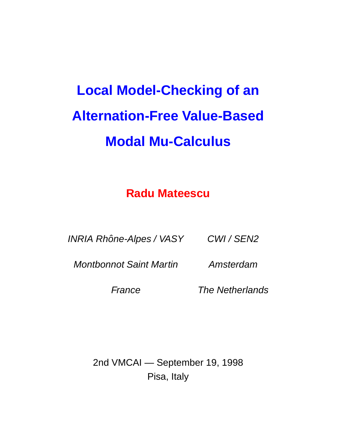# **Local Model-Checking of an Alternation-Free Value-Based Modal Mu-Calculus**

#### **Radu Mateescu**

INRIA Rhône-Alpes / VASY CWI / SEN2

Montbonnot Saint Martin Amsterdam

France The Netherlands

2nd VMCAI — September 19, 1998 Pisa, Italy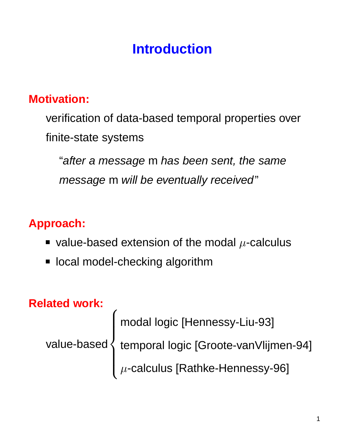# **Introduction**

#### **Motivation:**

verification of data-based temporal properties over finite-state systems

"after a message m has been sent, the same message m will be eventually received"

#### **Approach:**

- value-based extension of the modal  $\mu$ -calculus
- local model-checking algorithm

#### **Related work:**

value-based  $\sqrt{ }$  $\int$  $\begin{array}{c} \end{array}$ modal logic [Hennessy-Liu-93] temporal logic [Groote-vanVlijmen-94]  $\mu$ -calculus [Rathke-Hennessy-96]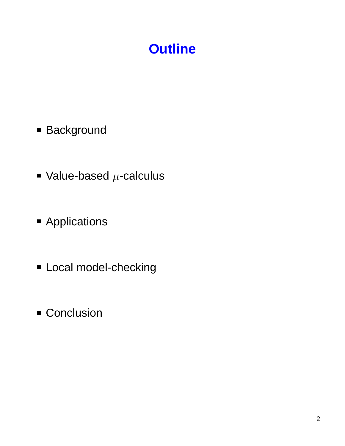# **Outline**

- **Background**
- Value-based  $\mu$ -calculus
- **Applications**
- **Local model-checking**
- **Conclusion**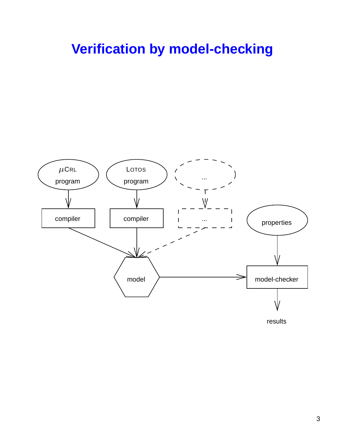### **Verification by model-checking**

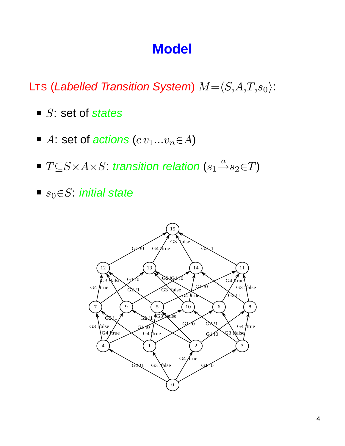### **Model**

LTS (Labelled Transition System)  $M = \langle S, A, T, s_0 \rangle$ :

- $\blacksquare$  S: set of states
- A: set of actions  $(c v_1...v_n \in A)$
- $T{\subseteq} S{\times} A {\times} S{:}$  transition relation  $(s_1{\stackrel{a}{\rightarrow}} s_2{\in}T)$
- $s_0 \in S$ : initial state

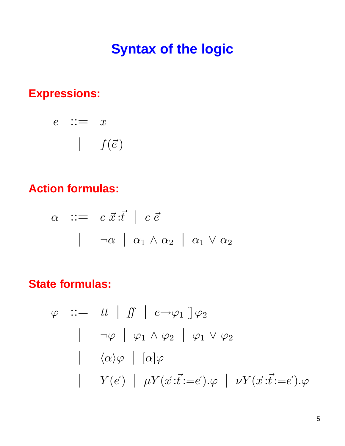### **Syntax of the logic**

#### **Expressions:**

$$
\begin{array}{ccc}\ne & \therefore = & x \\
& | & f(\vec{e})\n\end{array}
$$

#### **Action formulas:**

$$
\alpha \quad ::= \quad c \; \vec{x} \; : \vec{t} \quad | \quad c \; \vec{e}
$$
\n
$$
\qquad \qquad | \quad \neg \alpha \quad | \quad \alpha_1 \wedge \alpha_2 \quad | \quad \alpha_1 \vee \alpha_2
$$

#### **State formulas:**

$$
\varphi \quad ::= \quad tt \mid ff \mid e \rightarrow \varphi_1 \mid \varphi_2
$$
\n
$$
\mid \quad \neg \varphi \mid \varphi_1 \land \varphi_2 \mid \varphi_1 \lor \varphi_2
$$
\n
$$
\mid \quad \langle \alpha \rangle \varphi \mid [\alpha] \varphi
$$
\n
$$
\mid \quad Y(\vec{e}) \mid \mu Y(\vec{x}:\vec{t}:=\vec{e}).\varphi \mid \nu Y(\vec{x}:\vec{t}:=\vec{e}).\varphi
$$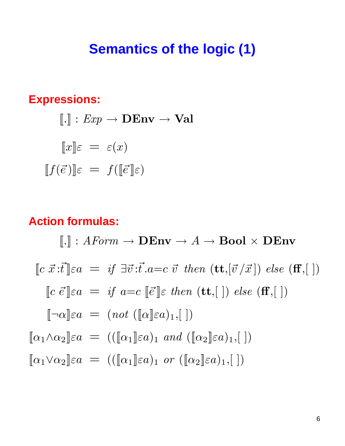#### **Semantics of the logic (1)**

#### **Expressions:**

$$
[\![.]\!] : Exp \to \mathbf{DEnv} \to \mathbf{Val}
$$

$$
[\![x]\!] \varepsilon = \varepsilon(x)
$$

$$
[\![f(\vec{e})]\!] \varepsilon = f([\![\vec{e}]\!] \varepsilon)
$$

#### **Action formulas:**

 $\llbracket . \rrbracket : {\mathit{AForm}} \to \mathbf{DEnv} \to {\mathit{A}} \to \mathbf{Bool} \times \mathbf{DEnv}$  $\lbrack\!\lbrack c~\vec{x}~:\vec{t}\rbrack\!\rbrack \varepsilon a = if~\exists \vec{v}~:\vec{t}.a=c~\vec{v}~then~(\mathbf{tt},[\vec{v}/\vec{x}])~else~(\mathbf{ff},[~])$  $\llbracket c \ \vec{e} \rrbracket \varepsilon a = \text{if} \ a = c \ [\vec{e} \rrbracket \varepsilon \ \text{then} \ (\mathbf{t} \mathbf{t}, \llbracket \ \rrbracket) \ \text{else} \ (\mathbf{f} \mathbf{f}, \llbracket \ \rrbracket)$  $[\neg \alpha] \varepsilon a = (not \ ([\alpha] \varepsilon a)_1, [\ ])$  $[\![\alpha_1 \wedge \alpha_2]\!] \in a = (([\![\alpha_1]\!] \in a)_1 \text{ and } ([\![\alpha_2]\!] \in a)_1, [\ ])$  $\llbracket \alpha_1 \vee \alpha_2 \rrbracket \varepsilon a = ((\llbracket \alpha_1 \rrbracket \varepsilon a)_1 \text{ or } (\llbracket \alpha_2 \rrbracket \varepsilon a)_1, \llbracket )$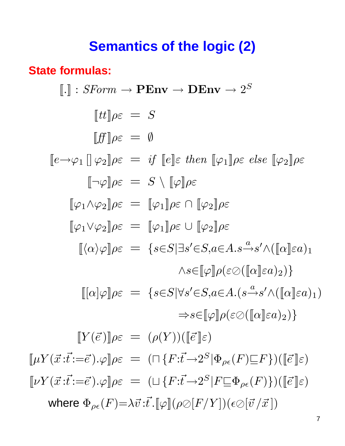### **Semantics of the logic (2)**

#### **State formulas:**

$$
[\![\cdot]\!] : SForm \to \mathbf{PEnv} \to \mathbf{DEnv} \to 2^S
$$

$$
[tt]\rho \varepsilon = S
$$

$$
[ff]\rho \varepsilon = \emptyset
$$

$$
[\![e \to \varphi_1\!] \circ \varphi_2]\rho \varepsilon = \mathit{if} [\![e]\!] \varepsilon \text{ then } [\![\varphi_1]\!] \rho \varepsilon \text{ else } [\![\varphi_2]\!] \rho \varepsilon
$$

$$
[\![\neg \varphi]\!] \rho \varepsilon = S \setminus [\![\varphi]\!] \rho \varepsilon
$$

$$
[\![\varphi_1 \land \varphi_2]\!] \rho \varepsilon = [\![\varphi_1]\!] \rho \varepsilon \cap [\![\varphi_2]\!] \rho \varepsilon
$$

$$
[\![\varphi_1 \lor \varphi_2]\!] \rho \varepsilon = [\![\varphi_1]\!] \rho \varepsilon \cup [\![\varphi_2]\!] \rho \varepsilon
$$

$$
[\![\alpha \rangle \varphi]\!] \rho \varepsilon = \{s \in S | \exists s' \in S, a \in A.s \xrightarrow{\alpha} s' \land ([\![\alpha]\!] \varepsilon a)_1
$$

$$
\land s \in [\![\varphi]\!] \rho (\varepsilon \oslash ([\![\alpha]\!] \varepsilon a)_2)\}
$$

$$
[[\![\alpha]\! \varphi]\!] \rho \varepsilon = \{s \in S | \forall s' \in S, a \in A.(s \xrightarrow{\alpha} s' \land ([\![\alpha]\!] \varepsilon a)_1)
$$

$$
\Rightarrow s \in [\![\varphi]\!] \rho (\varepsilon \oslash ([\![\alpha]\!] \varepsilon a)_2)\}
$$

$$
[[\![Y(\vec{c})]\!] \rho \varepsilon = (\rho(Y))([\![\vec{e}]\!] \varepsilon)
$$

$$
[[\![\mu Y(\vec{x}:\vec{t}:=\vec{e}).\varphi]\!] \rho \varepsilon = (\Box \{F:\vec{t} \rightarrow 2^S | \Phi_{\rho \varepsilon}(F) \sqsubseteq F\})([\![\vec{e}]\!] \varepsilon)
$$

where  $\Phi_{\rho\epsilon}(F)=\lambda\vec{v}:\vec{t}$ .  $[\varphi](\rho\oslash [F/Y])(\epsilon\oslash [\vec{v}\,/\vec{x}])$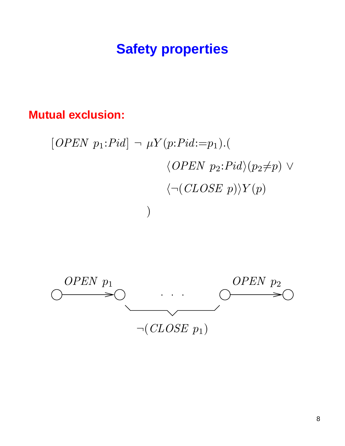### **Safety properties**

#### **Mutual exclusion:**

[*OPEN* 
$$
p_1:Pid] \rightarrow \mu Y(p:Pid := p_1).
$$
  
\n
$$
\langle OPEN \ p_2:Pid \rangle (p_2 \neq p) \vee
$$
\n
$$
\langle \neg (CLOSE \ p) \rangle Y(p)
$$

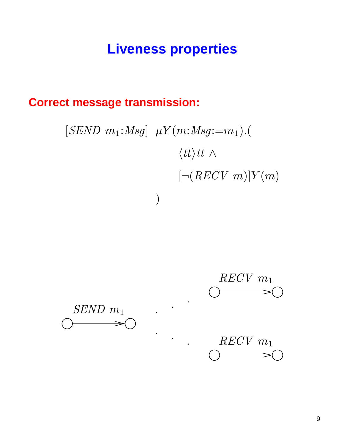### **Liveness properties**

#### **Correct message transmission:**

$$
[SEND \ m_1: Msg] \mu Y(m: Msg:=m_1).(\n \langle tt \rangle tt \land \n \left[ \neg (RECV \ m) \right] Y(m)
$$

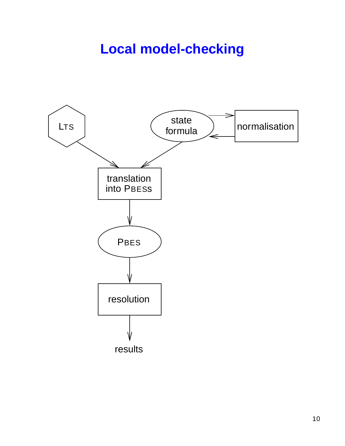### **Local model-checking**

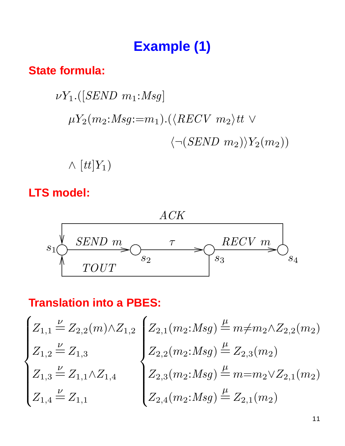# **Example (1)**

#### **State formula:**

$$
\nu Y_1.([SEND \ m_1:Msg]
$$
  
\n
$$
\mu Y_2(m_2:Msg:=m_1).(\langle RECV \ m_2 \rangle tt \ \lor \ \langle \neg (SEND \ m_2) \rangle Y_2(m_2))
$$

 $\wedge$   $[tt]Y_1)$ 

#### **LTS model:**



#### **Translation into a PBES:**

$$
\begin{cases} Z_{1,1} \stackrel{\nu}{=} Z_{2,2}(m) \wedge Z_{1,2} \\ Z_{1,2} \stackrel{\nu}{=} Z_{1,3} \\ Z_{1,3} \stackrel{\nu}{=} Z_{1,1} \wedge Z_{1,4} \end{cases} \begin{cases} Z_{2,1}(m_2: Msg) \stackrel{\mu}{=} m \neq m_2 \wedge Z_{2,2}(m_2) \\ Z_{2,2}(m_2: Msg) \stackrel{\mu}{=} Z_{2,3}(m_2) \\ Z_{2,3}(m_2: Msg) \stackrel{\mu}{=} m = m_2 \vee Z_{2,1}(m_2) \\ Z_{2,4}(m_2: Msg) \stackrel{\mu}{=} Z_{2,1}(m_2) \end{cases}
$$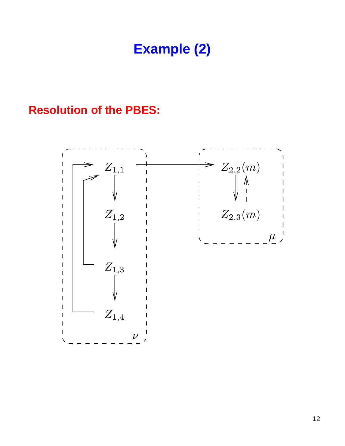# **Example (2)**

#### **Resolution of the PBES:**

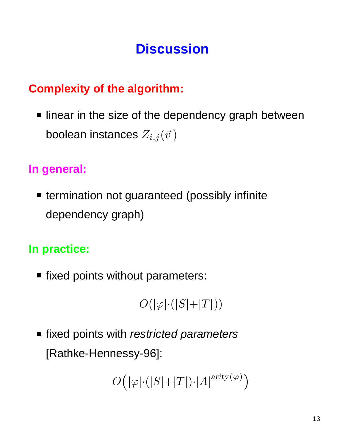# **Discussion**

#### **Complexity of the algorithm:**

I linear in the size of the dependency graph between boolean instances  $Z_{i,j}(\vec{v})$ 

#### **In general:**

**Extermination not guaranteed (possibly infinite** dependency graph)

#### **In practice:**

**fixed points without parameters:** 

$$
O(|\varphi|{\cdot}(|S|{+}|T|))
$$

■ fixed points with restricted parameters [Rathke-Hennessy-96]:

$$
O\Big(|\varphi|{\cdot}(|S|{+}|T|){\cdot}|A|^{\text{arity}(\varphi)}\Big)
$$